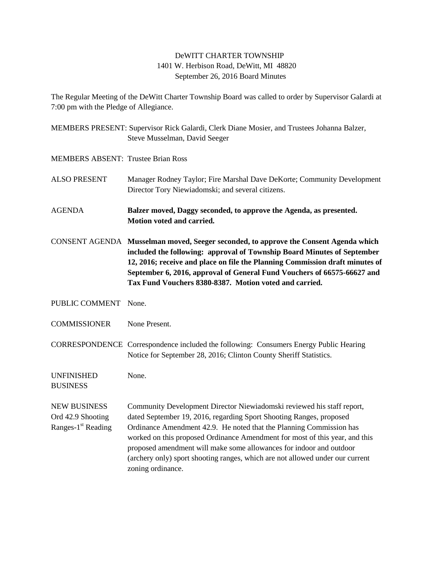## DeWITT CHARTER TOWNSHIP 1401 W. Herbison Road, DeWitt, MI 48820 September 26, 2016 Board Minutes

The Regular Meeting of the DeWitt Charter Township Board was called to order by Supervisor Galardi at 7:00 pm with the Pledge of Allegiance.

MEMBERS PRESENT: Supervisor Rick Galardi, Clerk Diane Mosier, and Trustees Johanna Balzer, Steve Musselman, David Seeger

MEMBERS ABSENT: Trustee Brian Ross

- ALSO PRESENT Manager Rodney Taylor; Fire Marshal Dave DeKorte; Community Development Director Tory Niewiadomski; and several citizens.
- AGENDA **Balzer moved, Daggy seconded, to approve the Agenda, as presented. Motion voted and carried.**
- CONSENT AGENDA **Musselman moved, Seeger seconded, to approve the Consent Agenda which included the following: approval of Township Board Minutes of September 12, 2016; receive and place on file the Planning Commission draft minutes of September 6, 2016, approval of General Fund Vouchers of 66575-66627 and Tax Fund Vouchers 8380-8387. Motion voted and carried.**
- PUBLIC COMMENT None.
- COMMISSIONER None Present.
- CORRESPONDENCE Correspondence included the following: Consumers Energy Public Hearing Notice for September 28, 2016; Clinton County Sheriff Statistics.

UNFINISHED None.

BUSINESS

NEW BUSINESS Community Development Director Niewiadomski reviewed his staff report, Ord 42.9 Shooting dated September 19, 2016, regarding Sport Shooting Ranges, proposed Ranges-1<sup>st</sup> Reading Ordinance Amendment 42.9. He noted that the Planning Commission has worked on this proposed Ordinance Amendment for most of this year, and this proposed amendment will make some allowances for indoor and outdoor (archery only) sport shooting ranges, which are not allowed under our current zoning ordinance.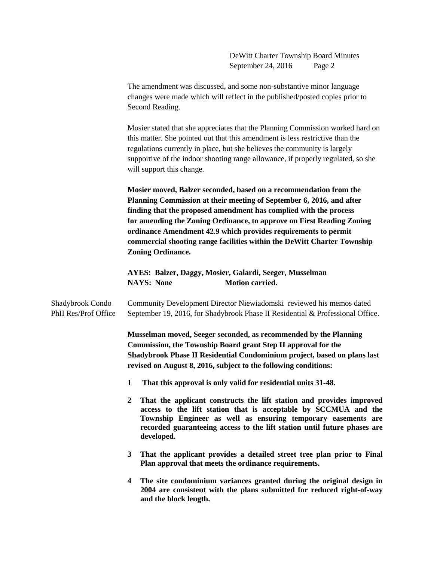The amendment was discussed, and some non-substantive minor language changes were made which will reflect in the published/posted copies prior to Second Reading.

Mosier stated that she appreciates that the Planning Commission worked hard on this matter. She pointed out that this amendment is less restrictive than the regulations currently in place, but she believes the community is largely supportive of the indoor shooting range allowance, if properly regulated, so she will support this change.

**Mosier moved, Balzer seconded, based on a recommendation from the Planning Commission at their meeting of September 6, 2016, and after finding that the proposed amendment has complied with the process for amending the Zoning Ordinance, to approve on First Reading Zoning ordinance Amendment 42.9 which provides requirements to permit commercial shooting range facilities within the DeWitt Charter Township Zoning Ordinance.**

**AYES: Balzer, Daggy, Mosier, Galardi, Seeger, Musselman NAYS: None Motion carried.**

Shadybrook Condo Community Development Director Niewiadomski reviewed his memos dated PhII Res/Prof Office September 19, 2016, for Shadybrook Phase II Residential & Professional Office.

> **Musselman moved, Seeger seconded, as recommended by the Planning Commission, the Township Board grant Step II approval for the Shadybrook Phase II Residential Condominium project, based on plans last revised on August 8, 2016, subject to the following conditions:**

- **1 That this approval is only valid for residential units 31-48.**
- **2 That the applicant constructs the lift station and provides improved access to the lift station that is acceptable by SCCMUA and the Township Engineer as well as ensuring temporary easements are recorded guaranteeing access to the lift station until future phases are developed.**
- **3 That the applicant provides a detailed street tree plan prior to Final Plan approval that meets the ordinance requirements.**
- **4 The site condominium variances granted during the original design in 2004 are consistent with the plans submitted for reduced right-of-way and the block length.**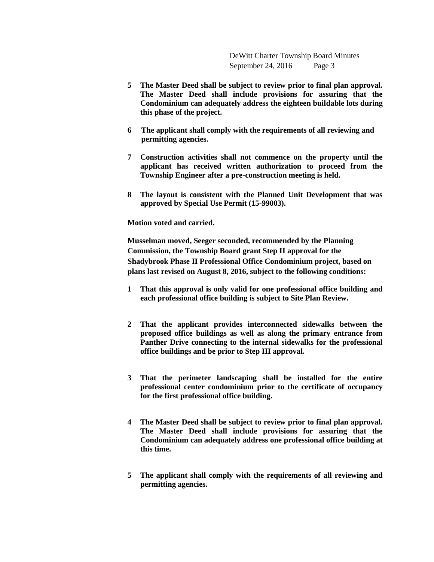- **5 The Master Deed shall be subject to review prior to final plan approval. The Master Deed shall include provisions for assuring that the Condominium can adequately address the eighteen buildable lots during this phase of the project.**
- **6 The applicant shall comply with the requirements of all reviewing and permitting agencies.**
- **7 Construction activities shall not commence on the property until the applicant has received written authorization to proceed from the Township Engineer after a pre-construction meeting is held.**
- **8 The layout is consistent with the Planned Unit Development that was approved by Special Use Permit (15-99003).**

**Motion voted and carried.**

**Musselman moved, Seeger seconded, recommended by the Planning Commission, the Township Board grant Step II approval for the Shadybrook Phase II Professional Office Condominium project, based on plans last revised on August 8, 2016, subject to the following conditions:**

- **1 That this approval is only valid for one professional office building and each professional office building is subject to Site Plan Review.**
- **2 That the applicant provides interconnected sidewalks between the proposed office buildings as well as along the primary entrance from Panther Drive connecting to the internal sidewalks for the professional office buildings and be prior to Step III approval.**
- **3 That the perimeter landscaping shall be installed for the entire professional center condominium prior to the certificate of occupancy for the first professional office building.**
- **4 The Master Deed shall be subject to review prior to final plan approval. The Master Deed shall include provisions for assuring that the Condominium can adequately address one professional office building at this time.**
- **5 The applicant shall comply with the requirements of all reviewing and permitting agencies.**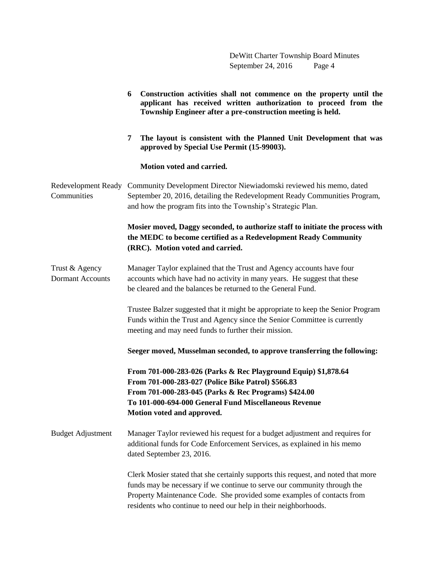|                                           | Construction activities shall not commence on the property until the<br>6<br>applicant has received written authorization to proceed from the<br>Township Engineer after a pre-construction meeting is held.                                                                                               |  |
|-------------------------------------------|------------------------------------------------------------------------------------------------------------------------------------------------------------------------------------------------------------------------------------------------------------------------------------------------------------|--|
|                                           | The layout is consistent with the Planned Unit Development that was<br>7<br>approved by Special Use Permit (15-99003).                                                                                                                                                                                     |  |
|                                           | Motion voted and carried.                                                                                                                                                                                                                                                                                  |  |
| Communities                               | Redevelopment Ready Community Development Director Niewiadomski reviewed his memo, dated<br>September 20, 2016, detailing the Redevelopment Ready Communities Program,<br>and how the program fits into the Township's Strategic Plan.                                                                     |  |
|                                           | Mosier moved, Daggy seconded, to authorize staff to initiate the process with<br>the MEDC to become certified as a Redevelopment Ready Community<br>(RRC). Motion voted and carried.                                                                                                                       |  |
| Trust & Agency<br><b>Dormant Accounts</b> | Manager Taylor explained that the Trust and Agency accounts have four<br>accounts which have had no activity in many years. He suggest that these<br>be cleared and the balances be returned to the General Fund.                                                                                          |  |
|                                           | Trustee Balzer suggested that it might be appropriate to keep the Senior Program<br>Funds within the Trust and Agency since the Senior Committee is currently<br>meeting and may need funds to further their mission.                                                                                      |  |
|                                           | Seeger moved, Musselman seconded, to approve transferring the following:                                                                                                                                                                                                                                   |  |
|                                           | From 701-000-283-026 (Parks & Rec Playground Equip) \$1,878.64<br>From 701-000-283-027 (Police Bike Patrol) \$566.83<br>From 701-000-283-045 (Parks & Rec Programs) \$424.00<br>To 101-000-694-000 General Fund Miscellaneous Revenue<br>Motion voted and approved.                                        |  |
| <b>Budget Adjustment</b>                  | Manager Taylor reviewed his request for a budget adjustment and requires for<br>additional funds for Code Enforcement Services, as explained in his memo<br>dated September 23, 2016.                                                                                                                      |  |
|                                           | Clerk Mosier stated that she certainly supports this request, and noted that more<br>funds may be necessary if we continue to serve our community through the<br>Property Maintenance Code. She provided some examples of contacts from<br>residents who continue to need our help in their neighborhoods. |  |